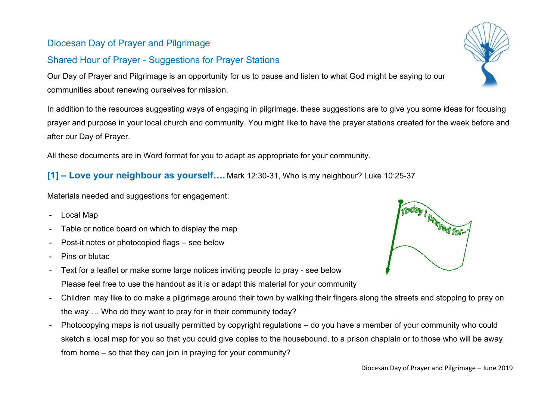# Diocesan Day of Prayer and Pilgrimage

# Shared Hour of Prayer - Suggestions for Prayer Stations

Our Day of Prayer and Pilgrimage is an opportunity for us to pause and listen to what God might be saying to our communities about renewing ourselves for mission.

In addition to the resources suggesting ways of engaging in pilgrimage, these suggestions are to give you some ideas for focusing prayer and purpose in your local church and community. You might like to have the prayer stations created for the week before and after our Day of Prayer.

All these documents are in Word format for you to adapt as appropriate for your community.

**[1] – Love your neighbour as yourself….** Mark 12:30-31, Who is my neighbour? Luke 10:25-37

Materials needed and suggestions for engagement:

- Local Map
- Table or notice board on which to display the map
- Post-it notes or photocopied flags see below
- Pins or blutac
- Text for a leaflet or make some large notices inviting people to pray see below Please feel free to use the handout as it is or adapt this material for your community
- Children may like to do make a pilgrimage around their town by walking their fingers along the streets and stopping to pray on the way…. Who do they want to pray for in their community today?
- Photocopying maps is not usually permitted by copyright regulations do you have a member of your community who could sketch a local map for you so that you could give copies to the housebound, to a prison chaplain or to those who will be away from home – so that they can join in praying for your community?



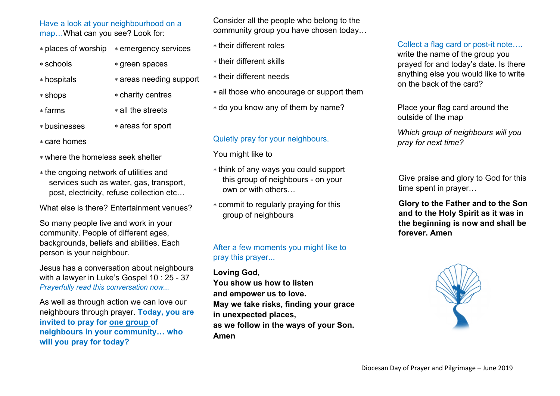#### Have a look at your neighbourhood on a map…What can you see? Look for:

- ∗ places of worship ∗ emergency services
- ∗ schools
- ∗ green spaces
- ∗ hospitals ∗ areas needing support

∗ charity centres

- ∗ shops
- ∗ farms
- ∗ all the streets
- ∗ businesses ∗ areas for sport
- ∗ care homes
- ∗ where the homeless seek shelter
- ∗ the ongoing network of utilities and services such as water, gas, transport, post, electricity, refuse collection etc…

What else is there? Entertainment venues?

So many people live and work in your community. People of different ages, backgrounds, beliefs and abilities. Each person is your neighbour.

Jesus has a conversation about neighbours with a lawyer in Luke's Gospel 10 : 25 - 37 *Prayerfully read this conversation now...*

As well as through action we can love our neighbours through prayer. **Today, you are invited to pray for one group of neighbours in your community… who will you pray for today?**

Consider all the people who belong to the community group you have chosen today…

- ∗ their different roles
- ∗ their different skills
- ∗ their different needs
- ∗ all those who encourage or support them
- ∗ do you know any of them by name?

# *pray for next time?* Quietly pray for your neighbours.

You might like to

- ∗ think of any ways you could support this group of neighbours - on your own or with others…
- ∗ commit to regularly praying for this group of neighbours

## After a few moments you might like to pray this prayer...

**Loving God, You show us how to listen and empower us to love. May we take risks, finding your grace in unexpected places, as we follow in the ways of your Son. Amen**

#### Collect a flag card or post-it note….

write the name of the group you prayed for and today's date. Is there anything else you would like to write on the back of the card?

Place your flag card around the outside of the map

*Which group of neighbours will you* 

Give praise and glory to God for this time spent in prayer…

**Glory to the Father and to the Son and to the Holy Spirit as it was in the beginning is now and shall be forever. Amen**

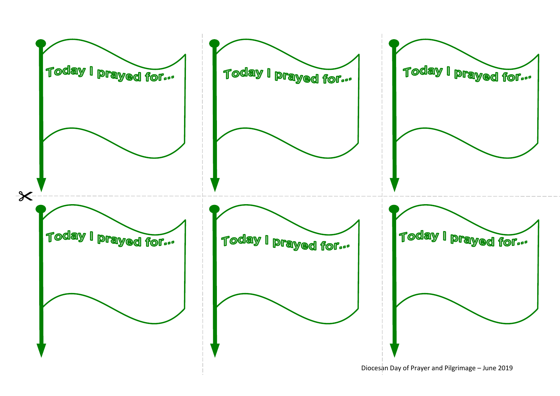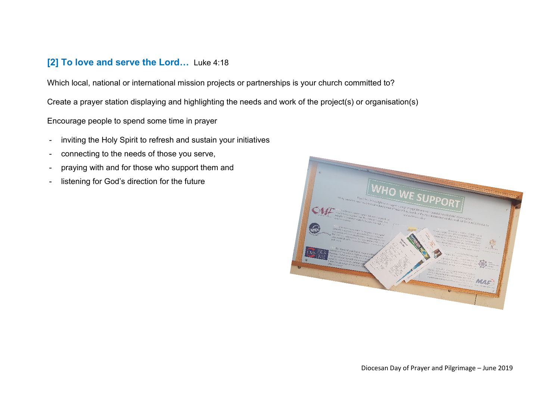### **[2] To love and serve the Lord…** Luke 4:18

Which local, national or international mission projects or partnerships is your church committed to?

Create a prayer station displaying and highlighting the needs and work of the project(s) or organisation(s)

Encourage people to spend some time in prayer

- inviting the Holy Spirit to refresh and sustain your initiatives
- connecting to the needs of those you serve,
- praying with and for those who support them and
- listening for God's direction for the future